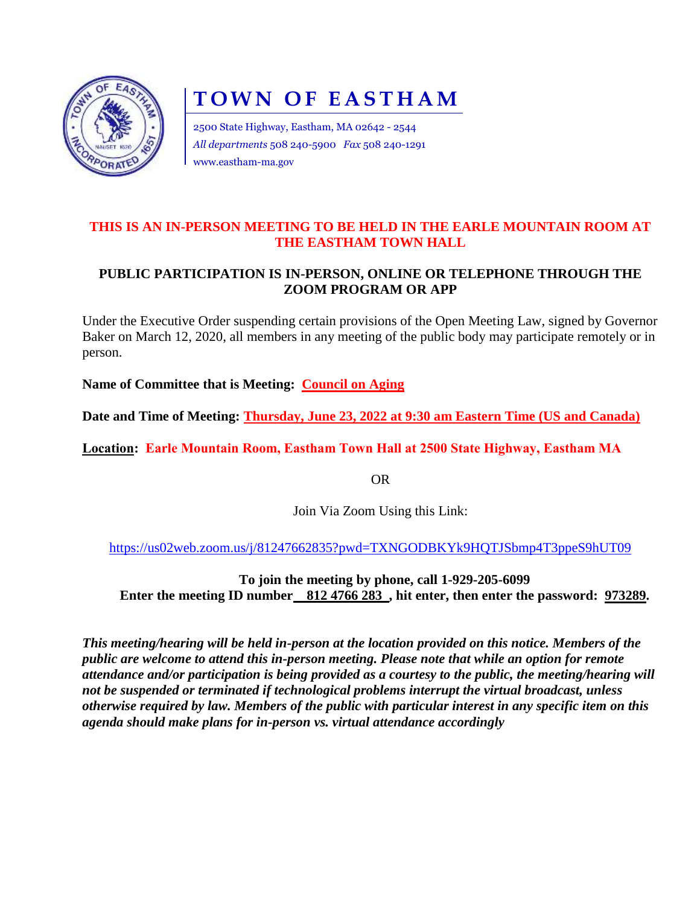

# **TOWN OF EASTHAM**

2500 State Highway, Eastham, MA 02642 - 2544 *All departments* 508 240-5900 *Fax* 508 240-1291 www.eastham-ma.gov

### **THIS IS AN IN-PERSON MEETING TO BE HELD IN THE EARLE MOUNTAIN ROOM AT THE EASTHAM TOWN HALL**

## **PUBLIC PARTICIPATION IS IN-PERSON, ONLINE OR TELEPHONE THROUGH THE ZOOM PROGRAM OR APP**

Under the Executive Order suspending certain provisions of the Open Meeting Law, signed by Governor Baker on March 12, 2020, all members in any meeting of the public body may participate remotely or in person.

**Name of Committee that is Meeting: Council on Aging**

**Date and Time of Meeting: Thursday, June 23, 2022 at 9:30 am Eastern Time (US and Canada)**

**Location: Earle Mountain Room, Eastham Town Hall at 2500 State Highway, Eastham MA**

OR

Join Via Zoom Using this Link:

<https://us02web.zoom.us/j/81247662835?pwd=TXNGODBKYk9HQTJSbmp4T3ppeS9hUT09>

**To join the meeting by phone, call 1-929-205-6099 Enter the meeting ID number** 812 4766 283, hit enter, then enter the password: 973289.

*This meeting/hearing will be held in-person at the location provided on this notice. Members of the public are welcome to attend this in-person meeting. Please note that while an option for remote attendance and/or participation is being provided as a courtesy to the public, the meeting/hearing will not be suspended or terminated if technological problems interrupt the virtual broadcast, unless otherwise required by law. Members of the public with particular interest in any specific item on this agenda should make plans for in-person vs. virtual attendance accordingly*